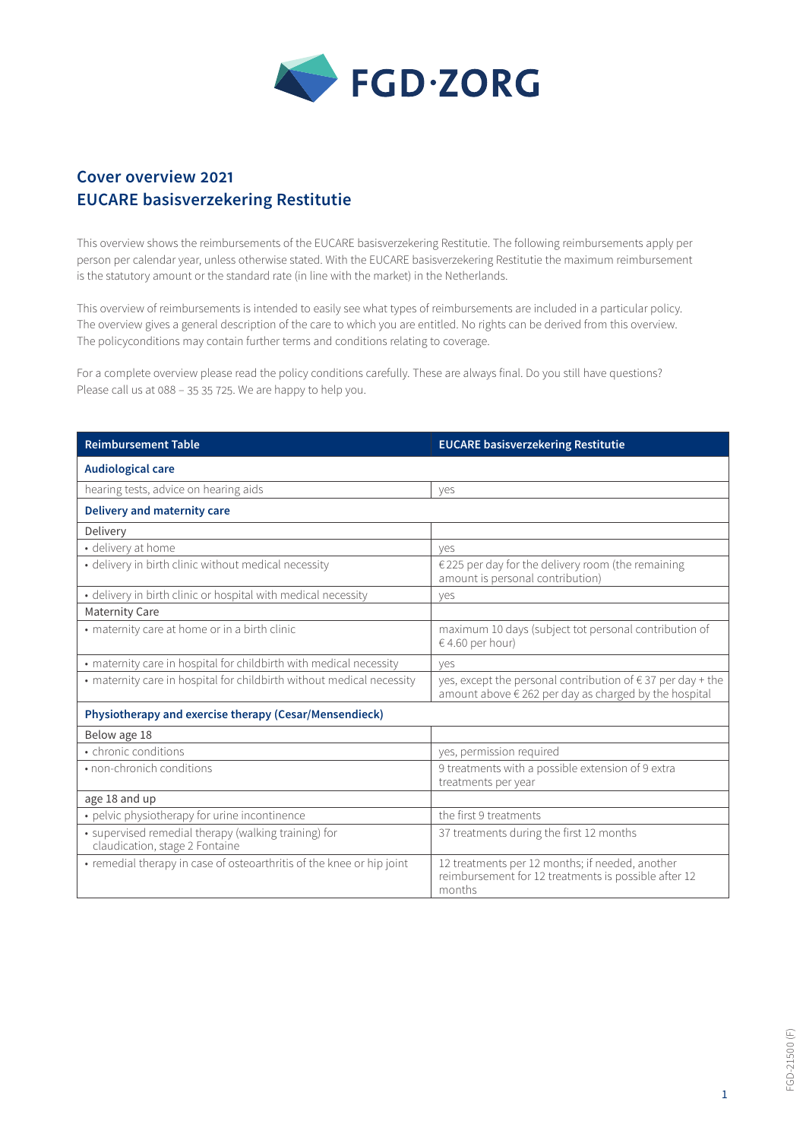

## **Cover overview 2021 EUCARE basisverzekering Restitutie**

This overview shows the reimbursements of the EUCARE basisverzekering Restitutie. The following reimbursements apply per person per calendar year, unless otherwise stated. With the EUCARE basisverzekering Restitutie the maximum reimbursement is the statutory amount or the standard rate (in line with the market) in the Netherlands.

This overview of reimbursements is intended to easily see what types of reimbursements are included in a particular policy. The overview gives a general description of the care to which you are entitled. No rights can be derived from this overview. The policyconditions may contain further terms and conditions relating to coverage.

For a complete overview please read the policy conditions carefully. These are always final. Do you still have questions? Please call us at 088 – 35 35 725. We are happy to help you.

| <b>Reimbursement Table</b>                                                             | <b>EUCARE basisverzekering Restitutie</b>                                                                                     |  |
|----------------------------------------------------------------------------------------|-------------------------------------------------------------------------------------------------------------------------------|--|
| <b>Audiological care</b>                                                               |                                                                                                                               |  |
| hearing tests, advice on hearing aids                                                  | yes                                                                                                                           |  |
| <b>Delivery and maternity care</b>                                                     |                                                                                                                               |  |
| Delivery                                                                               |                                                                                                                               |  |
| · delivery at home                                                                     | ves                                                                                                                           |  |
| • delivery in birth clinic without medical necessity                                   | $\epsilon$ 225 per day for the delivery room (the remaining<br>amount is personal contribution)                               |  |
| • delivery in birth clinic or hospital with medical necessity                          | yes                                                                                                                           |  |
| <b>Maternity Care</b>                                                                  |                                                                                                                               |  |
| • maternity care at home or in a birth clinic                                          | maximum 10 days (subject tot personal contribution of<br>€ 4.60 per hour)                                                     |  |
| • maternity care in hospital for childbirth with medical necessity                     | ves                                                                                                                           |  |
| • maternity care in hospital for childbirth without medical necessity                  | yes, except the personal contribution of $\epsilon$ 37 per day + the<br>amount above € 262 per day as charged by the hospital |  |
| Physiotherapy and exercise therapy (Cesar/Mensendieck)                                 |                                                                                                                               |  |
| Below age 18                                                                           |                                                                                                                               |  |
| • chronic conditions                                                                   | yes, permission required                                                                                                      |  |
| • non-chronich conditions                                                              | 9 treatments with a possible extension of 9 extra<br>treatments per year                                                      |  |
| age 18 and up                                                                          |                                                                                                                               |  |
| • pelvic physiotherapy for urine incontinence                                          | the first 9 treatments                                                                                                        |  |
| • supervised remedial therapy (walking training) for<br>claudication, stage 2 Fontaine | 37 treatments during the first 12 months                                                                                      |  |
| • remedial therapy in case of osteoarthritis of the knee or hip joint                  | 12 treatments per 12 months; if needed, another<br>reimbursement for 12 treatments is possible after 12<br>months             |  |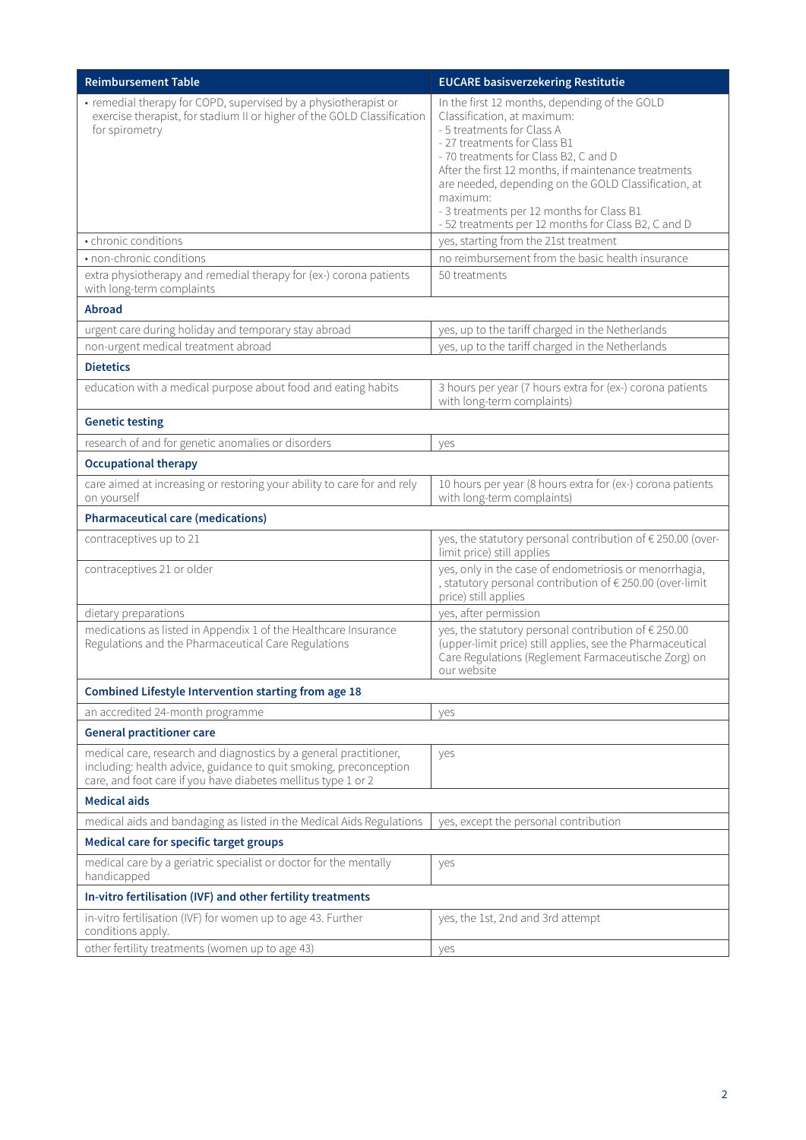| <b>Reimbursement Table</b>                                                                                                                                                                              | <b>EUCARE basisverzekering Restitutie</b>                                                                                                                                                                                                                                                                                                                                                                           |  |
|---------------------------------------------------------------------------------------------------------------------------------------------------------------------------------------------------------|---------------------------------------------------------------------------------------------------------------------------------------------------------------------------------------------------------------------------------------------------------------------------------------------------------------------------------------------------------------------------------------------------------------------|--|
| • remedial therapy for COPD, supervised by a physiotherapist or<br>exercise therapist, for stadium II or higher of the GOLD Classification<br>for spirometry                                            | In the first 12 months, depending of the GOLD<br>Classification, at maximum:<br>- 5 treatments for Class A<br>- 27 treatments for Class B1<br>- 70 treatments for Class B2, C and D<br>After the first 12 months, if maintenance treatments<br>are needed, depending on the GOLD Classification, at<br>maximum:<br>- 3 treatments per 12 months for Class B1<br>- 52 treatments per 12 months for Class B2, C and D |  |
| • chronic conditions                                                                                                                                                                                    | yes, starting from the 21st treatment                                                                                                                                                                                                                                                                                                                                                                               |  |
| • non-chronic conditions                                                                                                                                                                                | no reimbursement from the basic health insurance                                                                                                                                                                                                                                                                                                                                                                    |  |
| extra physiotherapy and remedial therapy for (ex-) corona patients<br>with long-term complaints                                                                                                         | 50 treatments                                                                                                                                                                                                                                                                                                                                                                                                       |  |
| <b>Abroad</b>                                                                                                                                                                                           |                                                                                                                                                                                                                                                                                                                                                                                                                     |  |
| urgent care during holiday and temporary stay abroad                                                                                                                                                    | yes, up to the tariff charged in the Netherlands                                                                                                                                                                                                                                                                                                                                                                    |  |
| non-urgent medical treatment abroad                                                                                                                                                                     | yes, up to the tariff charged in the Netherlands                                                                                                                                                                                                                                                                                                                                                                    |  |
| <b>Dietetics</b>                                                                                                                                                                                        |                                                                                                                                                                                                                                                                                                                                                                                                                     |  |
| education with a medical purpose about food and eating habits                                                                                                                                           | 3 hours per year (7 hours extra for (ex-) corona patients<br>with long-term complaints)                                                                                                                                                                                                                                                                                                                             |  |
| <b>Genetic testing</b>                                                                                                                                                                                  |                                                                                                                                                                                                                                                                                                                                                                                                                     |  |
| research of and for genetic anomalies or disorders                                                                                                                                                      | yes                                                                                                                                                                                                                                                                                                                                                                                                                 |  |
| <b>Occupational therapy</b>                                                                                                                                                                             |                                                                                                                                                                                                                                                                                                                                                                                                                     |  |
| care aimed at increasing or restoring your ability to care for and rely<br>on yourself                                                                                                                  | 10 hours per year (8 hours extra for (ex-) corona patients<br>with long-term complaints)                                                                                                                                                                                                                                                                                                                            |  |
| <b>Pharmaceutical care (medications)</b>                                                                                                                                                                |                                                                                                                                                                                                                                                                                                                                                                                                                     |  |
| contraceptives up to 21                                                                                                                                                                                 | yes, the statutory personal contribution of € 250.00 (over-<br>limit price) still applies                                                                                                                                                                                                                                                                                                                           |  |
| contraceptives 21 or older                                                                                                                                                                              | yes, only in the case of endometriosis or menorrhagia,<br>, statutory personal contribution of € 250.00 (over-limit<br>price) still applies                                                                                                                                                                                                                                                                         |  |
| dietary preparations                                                                                                                                                                                    | yes, after permission                                                                                                                                                                                                                                                                                                                                                                                               |  |
| medications as listed in Appendix 1 of the Healthcare Insurance<br>Regulations and the Pharmaceutical Care Regulations                                                                                  | yes, the statutory personal contribution of € 250.00<br>(upper-limit price) still applies, see the Pharmaceutical<br>Care Regulations (Reglement Farmaceutische Zorg) on<br>our website                                                                                                                                                                                                                             |  |
| Combined Lifestyle Intervention starting from age 18                                                                                                                                                    |                                                                                                                                                                                                                                                                                                                                                                                                                     |  |
| an accredited 24-month programme                                                                                                                                                                        | yes                                                                                                                                                                                                                                                                                                                                                                                                                 |  |
| <b>General practitioner care</b>                                                                                                                                                                        |                                                                                                                                                                                                                                                                                                                                                                                                                     |  |
| medical care, research and diagnostics by a general practitioner,<br>including: health advice, guidance to quit smoking, preconception<br>care, and foot care if you have diabetes mellitus type 1 or 2 | yes                                                                                                                                                                                                                                                                                                                                                                                                                 |  |
| <b>Medical aids</b>                                                                                                                                                                                     |                                                                                                                                                                                                                                                                                                                                                                                                                     |  |
| medical aids and bandaging as listed in the Medical Aids Regulations                                                                                                                                    | yes, except the personal contribution                                                                                                                                                                                                                                                                                                                                                                               |  |
| Medical care for specific target groups                                                                                                                                                                 |                                                                                                                                                                                                                                                                                                                                                                                                                     |  |
| medical care by a geriatric specialist or doctor for the mentally<br>handicapped                                                                                                                        | yes                                                                                                                                                                                                                                                                                                                                                                                                                 |  |
| In-vitro fertilisation (IVF) and other fertility treatments                                                                                                                                             |                                                                                                                                                                                                                                                                                                                                                                                                                     |  |
| in-vitro fertilisation (IVF) for women up to age 43. Further<br>conditions apply.                                                                                                                       | yes, the 1st, 2nd and 3rd attempt                                                                                                                                                                                                                                                                                                                                                                                   |  |
| other fertility treatments (women up to age 43)                                                                                                                                                         | yes                                                                                                                                                                                                                                                                                                                                                                                                                 |  |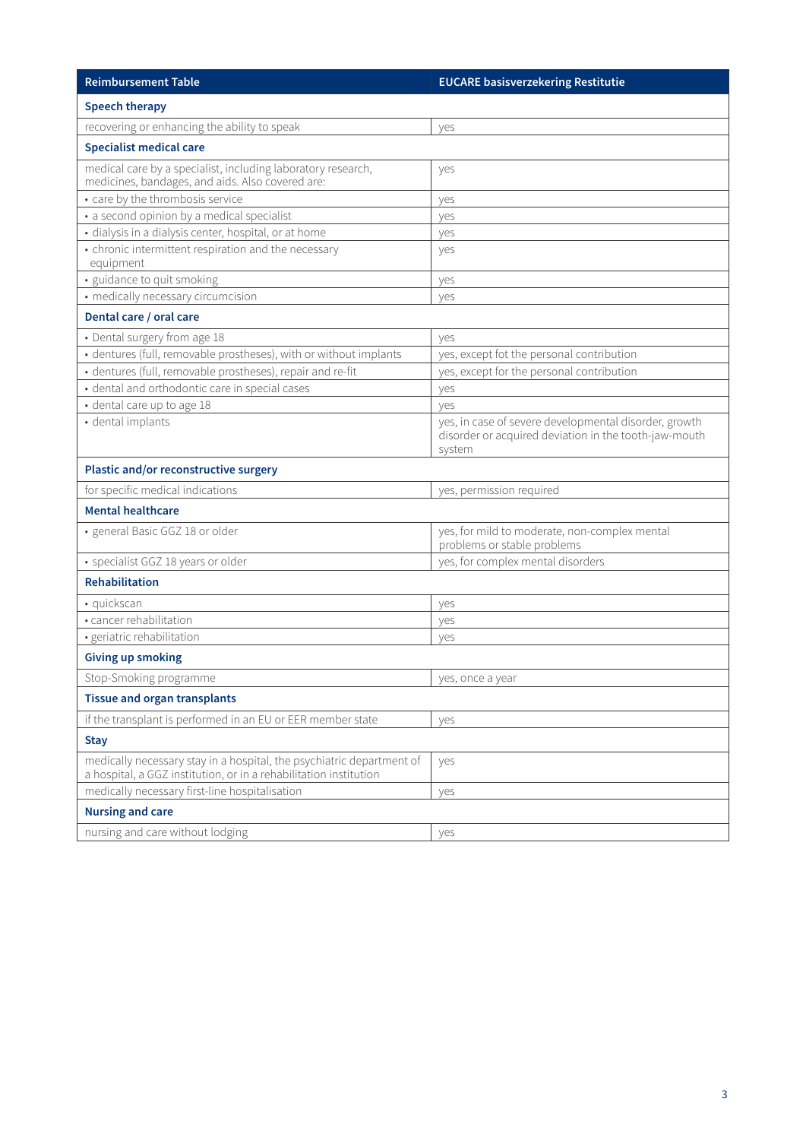| <b>Reimbursement Table</b>                                                                                                                 | <b>EUCARE basisverzekering Restitutie</b>                                                                                |  |
|--------------------------------------------------------------------------------------------------------------------------------------------|--------------------------------------------------------------------------------------------------------------------------|--|
| <b>Speech therapy</b>                                                                                                                      |                                                                                                                          |  |
| recovering or enhancing the ability to speak                                                                                               | yes                                                                                                                      |  |
| <b>Specialist medical care</b>                                                                                                             |                                                                                                                          |  |
| medical care by a specialist, including laboratory research,<br>medicines, bandages, and aids. Also covered are:                           | yes                                                                                                                      |  |
| • care by the thrombosis service                                                                                                           | yes                                                                                                                      |  |
| • a second opinion by a medical specialist                                                                                                 | yes                                                                                                                      |  |
| · dialysis in a dialysis center, hospital, or at home                                                                                      | yes                                                                                                                      |  |
| • chronic intermittent respiration and the necessary<br>equipment                                                                          | yes                                                                                                                      |  |
| · guidance to quit smoking                                                                                                                 | yes                                                                                                                      |  |
| • medically necessary circumcision                                                                                                         | yes                                                                                                                      |  |
| Dental care / oral care                                                                                                                    |                                                                                                                          |  |
| • Dental surgery from age 18                                                                                                               | yes                                                                                                                      |  |
| · dentures (full, removable prostheses), with or without implants                                                                          | yes, except fot the personal contribution                                                                                |  |
| · dentures (full, removable prostheses), repair and re-fit                                                                                 | yes, except for the personal contribution                                                                                |  |
| · dental and orthodontic care in special cases                                                                                             | yes                                                                                                                      |  |
| · dental care up to age 18                                                                                                                 | ves                                                                                                                      |  |
| · dental implants                                                                                                                          | yes, in case of severe developmental disorder, growth<br>disorder or acquired deviation in the tooth-jaw-mouth<br>system |  |
| Plastic and/or reconstructive surgery                                                                                                      |                                                                                                                          |  |
| for specific medical indications                                                                                                           | yes, permission required                                                                                                 |  |
| <b>Mental healthcare</b>                                                                                                                   |                                                                                                                          |  |
| · general Basic GGZ 18 or older                                                                                                            | yes, for mild to moderate, non-complex mental<br>problems or stable problems                                             |  |
| · specialist GGZ 18 years or older                                                                                                         | yes, for complex mental disorders                                                                                        |  |
| <b>Rehabilitation</b>                                                                                                                      |                                                                                                                          |  |
| · quickscan                                                                                                                                | yes                                                                                                                      |  |
| · cancer rehabilitation                                                                                                                    | yes                                                                                                                      |  |
| · geriatric rehabilitation                                                                                                                 | yes                                                                                                                      |  |
| <b>Giving up smoking</b>                                                                                                                   |                                                                                                                          |  |
| Stop-Smoking programme                                                                                                                     | yes, once a year                                                                                                         |  |
| <b>Tissue and organ transplants</b>                                                                                                        |                                                                                                                          |  |
| if the transplant is performed in an EU or EER member state                                                                                | yes                                                                                                                      |  |
| <b>Stay</b>                                                                                                                                |                                                                                                                          |  |
| medically necessary stay in a hospital, the psychiatric department of<br>a hospital, a GGZ institution, or in a rehabilitation institution | yes                                                                                                                      |  |
| medically necessary first-line hospitalisation                                                                                             | yes                                                                                                                      |  |
| <b>Nursing and care</b>                                                                                                                    |                                                                                                                          |  |
| nursing and care without lodging                                                                                                           | yes                                                                                                                      |  |